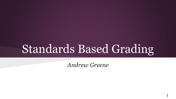# Standards Based Grading

*Andrew Greene*

1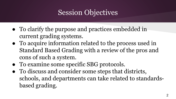### Session Objectives

- To clarify the purpose and practices embedded in current grading systems.
- To acquire information related to the process used in Standard Based Grading with a review of the pros and cons of such a system.
- To examine some specific SBG protocols.
- To discuss and consider some steps that districts, schools, and departments can take related to standardsbased grading.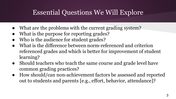#### Essential Questions We Will Explore

- What are the problems with the current grading system?
- What is the purpose for reporting grades?
- Who is the audience for student grades?
- What is the difference between norm-referenced and criterion referenced grades and which is better for improvement of student learning?
- Should teachers who teach the same course and grade level have common grading practices?
- How should/can non-achievement factors be assessed and reported out to students and parents [e.g., effort, behavior, attendance]?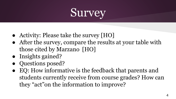# **Survey**

- Activity: Please take the survey [HO]
- After the survey, compare the results at your table with those cited by Marzano [HO]
- Insights gained?
- Questions posed?
- EQ: How informative is the feedback that parents and students currently receive from course grades? How can they "act"on the information to improve?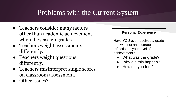#### Problems with the Current System

- Teachers consider many factors other than academic achievement when they assign grades.
- Teachers weight assessments differently.
- Teachers weight questions differently.
- Teachers misinterpret single scores on classroom assessment.
- Other issues?

#### **Personal Experience**

Have YOU ever received a grade that was not an accurate reflection of your level of achievement?

- What was the grade?
- Why did this happen?
- How did you feel?

5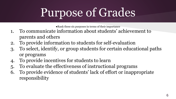# Purpose of Grades

●Rank these six purposes in terms of their importance

- 1. To communicate information about students' achievement to parents and others
- 2. To provide information to students for self-evaluation
- 3. To select, identify, or group students for certain educational paths or programs
- 4. To provide incentives for students to learn
- 5. To evaluate the effectiveness of instructional programs
- 6. To provide evidence of students' lack of effort or inappropriate responsibility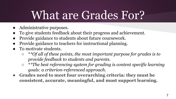# What are Grades For?

- Administrative purposes.
- To give students feedback about their progress and achievement.
- Provide guidance to students about future coursework.
- Provide guidance to teachers for instructional planning.
- To motivate students.
	- \**\*Of all of these points, the most important purpose for grades is to provide feedback to students and parents.*
	- \**\*The best referencing system for grading is content specific learning goals: a criterion-referenced approach.*
- **Grades need to meet four overarching criteria: they must be consistent, accurate, meaningful, and must support learning.**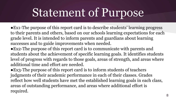# Statement of Purpose

- ●Ex1-The purpose of this report card is to describe students' learning progress to their parents and others, based on our schools learning expectations for each grade level. It is intended to inform parents and guardians about learning successes and to guide improvements when needed.
- ●Ex2-The purpose of this report card is to communicate with parents and students about the achievement of specific learning goals. It identifies students level of progress with regards to those goals, areas of strength, and areas where additional time and effort are needed.

●Ex3-The purpose of this report card is to inform students of teachers judgments of their academic performance in each of their classes. Grades reflect how well students have met the established learning goals in each class, areas of outstanding performance, and areas where additional effort is required.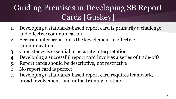### Guiding Premises in Developing SB Report Cards [Guskey]

- 1. Developing a standards-based report card is primarily a challenge and effective communication
- 2. Accurate interpretation is the key element in effective communication
- 3. Consistency is essential to accurate interpretation
- 4. Developing a successful report card involves a series of trade-offs
- 5. Report cards should be descriptive, not restrictive
- 6. No report card is perfect
- 7. Developing a standards-based report card requires teamwork, broad involvement, and initial training or study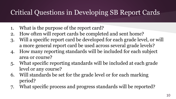### Critical Questions in Developing SB Report Cards

- 1. What is the purpose of the report card?
- 2. How often will report cards be completed and sent home?
- 3. Will a specific report card be developed for each grade level, or will a more general report card be used across several grade levels?
- 4. How many reporting standards will be included for each subject area or course?
- 5. What specific reporting standards will be included at each grade level or any course?
- 6. Will standards be set for the grade level or for each marking period?
- 7. What specific process and progress standards will be reported?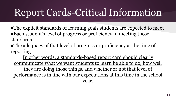### Report Cards-Critical Information

- ●The explicit standards or learning goals students are expected to meet ●Each student's level of progress or proficiency in meeting those standards
- The adequacy of that level of progress or proficiency at the time of reporting

In other words, a standards-based report card should clearly communicate what we want students to learn be able to do, how well they are doing those things, and whether or not that level of performance is in line with our expectations at this time in the school year.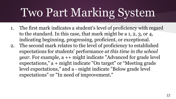# Two Part Marking System

- 1. The first mark indicates a student's level of proficiency with regard to the standard. In this case, that mark might be a 1, 2, 3, or 4, indicating beginning, progressing, proficient, or exceptional.
- 2. The second mark relates to the level of proficiency to established expectations for students' performance *at this time in the school year*. For example, a ++ might indicate "Advanced for grade level expectations," a + might indicate "On target" or "Meeting grade level expectations," and a - might indicate "Below grade level expectations" or "In need of improvement."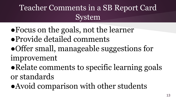### Teacher Comments in a SB Report Card System

- ●Focus on the goals, not the learner
- ●Provide detailed comments
- ●Offer small, manageable suggestions for
- improvement
- ●Relate comments to specific learning goals or standards
- ●Avoid comparison with other students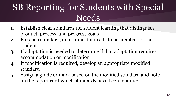### SB Reporting for Students with Special **Needs**

- 1. Establish clear standards for student learning that distinguish product, process, and progress goals
- 2. For each standard, determine if it needs to be adapted for the student
- 3. If adaptation is needed to determine if that adaptation requires accommodation or modification
- 4. If modification is required, develop an appropriate modified standard
- 5. Assign a grade or mark based on the modified standard and note on the report card which standards have been modified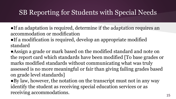### SB Reporting for Students with Special Needs

●If an adaptation is required, determine if the adaptation requires an accommodation or modification

●If a modification is required, develop an appropriate modified standard

●Assign a grade or mark based on the modified standard and note on the report card which standards have been modified [To base grades or marks modified standards without communicating what was truly assessed is no more meaningful or fair than giving failing grades based on grade level standards]

●By law, however, the notation on the transcript must not in any way identify the student as receiving special education services or as receiving accommodations.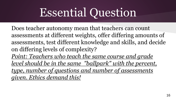# Essential Question

Does teacher autonomy mean that teachers can count assessments at different weights, offer differing amounts of assessments, test different knowledge and skills, and decide on differing levels of complexity? *Point: Teachers who teach the same course and grade level should be in the same "ballpark" with the percent, type, number of questions and number of assessments given. Ethics demand this!*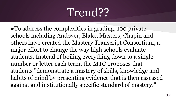### Trend??

●To address the complexities in grading, 100 private schools including Andover, Blake, Masters, Chapin and others have created the Mastery Transcript Consortium, a major effort to change the way high schools evaluate students. Instead of boiling everything down to a single number or letter each term, the MTC proposes that students "demonstrate a mastery of skills, knowledge and habits of mind by presenting evidence that is then assessed against and institutionally specific standard of mastery."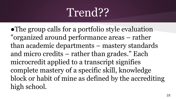### Trend??

●The group calls for a portfolio style evaluation "organized around performance areas – rather than academic departments – mastery standards and micro credits – rather than grades." Each microcredit applied to a transcript signifies complete mastery of a specific skill, knowledge block or habit of mine as defined by the accrediting high school.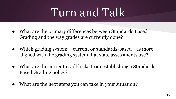# Turn and Talk

- What are the primary differences between Standards Based Grading and the way grades are currently done?
- Which grading system current or standards-based is more aligned with the grading system that state assessments use?
- What are the current roadblocks from establishing a Standards Based Grading policy?
- What are the next steps you can take in your situation?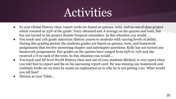### Activities

- In your Global History class, report cards are based on quizzes, tests, and an out of class project which counted as 25% of the grade. Terry obtained and A average on his quizzes and tests, but has not turned in his project despite frequent reminders. In this situation you would....
- You teach and 11th grade American History course to students with varying levels of ability. During this grading period, the students grades are based on quizzes, tests, and homework assignments that involve answering chapter and subchapter questions. Kelly has not turned any homework assignments. Her grades on the quizzes have ranged from 65% to 75% and she received a D on each of the tests. In this situation you would....
- You teach and AP level World History class and one of your students Michael, is very upset when you told him to expect and 89 on his upcoming report card. He was missing one homework and routinely broke 90 on tests he wants an explanation as to why he is not getting a 90. What would you tell him?
- Discuss at your Table...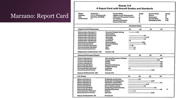#### Marzano: Report Card

|                                                                                                                                         |                                                                                                                                                                         | FIGURE 7.4                                                                                                                                                    |                                      |                                 |                                                                                       |                                                              |                                   |
|-----------------------------------------------------------------------------------------------------------------------------------------|-------------------------------------------------------------------------------------------------------------------------------------------------------------------------|---------------------------------------------------------------------------------------------------------------------------------------------------------------|--------------------------------------|---------------------------------|---------------------------------------------------------------------------------------|--------------------------------------------------------------|-----------------------------------|
|                                                                                                                                         |                                                                                                                                                                         | A Report Card with Overall Grades and Standards                                                                                                               |                                      |                                 |                                                                                       |                                                              |                                   |
| Namar<br><b>Address:</b><br>City:<br>Grade Level:                                                                                       | Al Finstein<br>1111 E. McSquare Dr.<br>Relativity, CO 80000<br>$\mathbf{u}$                                                                                             | <b>Course Titles:</b><br>Algebra II and Trigonometry<br><b>Advanced Placement Physics</b><br>U.S. History<br>American Literature<br><b>Physical Education</b> |                                      | Grade<br>с<br>А<br>B.<br>с<br>農 | <b>Course Tides:</b><br><b>Chonse</b><br>Geography<br>Current GPA:<br>Comelative GPA: |                                                              | Grade<br><b>B</b><br>2.95<br>3.23 |
|                                                                                                                                         |                                                                                                                                                                         |                                                                                                                                                               | <b>Stendards Rating</b>              |                                 |                                                                                       |                                                              |                                   |
| Algebra II and Trigosometry                                                                                                             | $^{111}$                                                                                                                                                                | $\mathbf{a}$                                                                                                                                                  | CSI                                  | 543                             |                                                                                       |                                                              |                                   |
| Mathematics Standard 1:<br>Mathematics Standard 2:<br>Mathematics Standard 3:<br>Mathematics Standard 4:                                |                                                                                                                                                                         | Numeric Problem Selving<br>Computation<br><b>Measurement</b><br>Geometry                                                                                      |                                      | $-1.75$<br>-25                  | $-275$                                                                                |                                                              |                                   |
| Mathematics Standard S:<br>Mathematics Standard &<br>Mathematics Standard 7:                                                            |                                                                                                                                                                         | Probability<br><b>Functions</b><br>Data Analysia                                                                                                              | 1.0                                  | 25<br>2.25                      |                                                                                       |                                                              |                                   |
| Ressoning Standard:<br>Communication Standard:<br>Communication Standard:<br>Nonachievement Factor:                                     |                                                                                                                                                                         | <b>Decision Making</b><br>Written<br>Oral<br>Etfort                                                                                                           | $-1.25$<br>$-15$<br>$-15$            | -35                             |                                                                                       |                                                              |                                   |
|                                                                                                                                         | <b>Methamatics Achievement 211</b>                                                                                                                                      | Overall: 1.95                                                                                                                                                 |                                      |                                 |                                                                                       |                                                              |                                   |
| <b>Advanced Placement Physics</b>                                                                                                       |                                                                                                                                                                         |                                                                                                                                                               | £13                                  | £5                              | 価                                                                                     | 643                                                          |                                   |
| Science Standard 1:<br>Science Standard 2:<br>Science Standard 3:<br>Science Standard 4:<br>Reasoning Standard:<br>Ressorting Standard: |                                                                                                                                                                         | Structure/Properties of Matter<br><b>Energy Types</b><br>Moden<br>Forest<br>Experimental Inquiry<br>Problem Sching                                            |                                      |                                 |                                                                                       | 40.<br>325<br>$\overline{a}$<br>40<br>40 <sup>2</sup><br>4.0 |                                   |
| Communication Standard:<br>Nonechlevement Fector:<br><b>Science Achievement: 3.54</b>                                                   |                                                                                                                                                                         | Audience<br>Behavior<br>Overall: 3.73                                                                                                                         | 1.0                                  |                                 | 325                                                                                   |                                                              |                                   |
|                                                                                                                                         |                                                                                                                                                                         |                                                                                                                                                               |                                      |                                 |                                                                                       |                                                              |                                   |
| U.S. History<br>History Standard 1:                                                                                                     |                                                                                                                                                                         | <b>Civilization and Society</b>                                                                                                                               | <b>CT3</b>                           | œ<br>20.                        | <b>CSI</b>                                                                            | 649                                                          |                                   |
| <b>History Standard 2:</b><br><b>History Standard 3:</b><br><b>History Stendard &amp;</b><br><b>History Standard St</b>                 | Exploration & Colonization<br>Revolution and Conflict<br><b>Industry and Commerce</b><br>Forms of Government<br><b>Reasoning Standard:</b><br>Comparing and Contrasting |                                                                                                                                                               | -325<br>8.0<br>$-275$<br>$-25$<br>35 |                                 |                                                                                       |                                                              |                                   |
| <b>Ressoning Standard:</b><br>Communication Standard:<br>Nonechievement Fector:                                                         |                                                                                                                                                                         | <b>Making Deductions</b><br>Written<br>Behavior                                                                                                               | $-1.5$                               |                                 | -325                                                                                  | 40                                                           |                                   |
| <b>History Achievement: 2.9</b>                                                                                                         |                                                                                                                                                                         | Overa@ 3.0                                                                                                                                                    |                                      |                                 |                                                                                       |                                                              |                                   |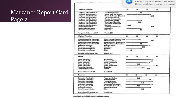#### Marzano: Report Card Page 2

| these updates now or try tonight<br><b>EXE</b><br>$^{125}$<br>œ<br>60<br>The Writing Process<br>25.<br>Language Arts Standard 2:<br>Usage, Style, and Rhetoric<br>$-3.25$<br>Language Arts Standard 3:<br>Rosearch: Process & Product<br>-375<br>Language Arts Standard &<br>The Reading Process<br>Language Arts Standard St<br>Roading Comprehension<br><b>Language Arts Standard &amp;</b><br><b>Literacy/Text Analysis</b><br>$-25$<br>Language Arts Standard 7:<br>225<br><b>Ustaning and Speaking</b><br><b>Language Arts Standard &amp;</b><br>The Nature of Language<br><b>Language Arts Standard 9:</b><br>$-125$<br>Eitersteine<br><b>Reasoning Standard:</b><br>Analyzing Relationships<br>-3.75<br>Nonachievement Factor:<br>$-2.5$<br>Amendance:<br>Nonachievement Factor:<br><b>Behavior</b><br>$-2.8$<br>Overall: 2.65<br>m<br>œ<br>$\overline{a}$<br>643<br>Move't Forms: Theory & Prect. -<br>$-225$<br><b>Motor Skill Development</b><br>$-3.25$<br>Physical Fitness: Appreciation<br>$-3.0$<br>Physical Fitness: Application<br>$-2.5$<br>Problem Solving<br>-3.25<br>Attendance<br>$-275$<br><b>Behavior</b><br>$-2.5$<br>$-15$<br>Effort<br>Overalt 2.75<br>$413 -$<br>$^{23}$<br>(4)<br>œ<br><b>Vocal Music</b><br>$-3.75$<br>Instrumental Music<br>$-3.75$<br>Music Compesition<br>-325<br>Music Theory<br>225<br>Music Appreciation<br>ŁĎ<br>Classifying<br>$-275$<br>Communication Factor:<br><b>Written</b><br>325<br>Overalt: 3.33<br>Đ<br>545<br>613<br>œ<br>225<br><b>Flaces and Regions</b><br>Human Systems<br>35<br><b>Physical Systems</b><br>-325<br><b>Uses of Geography</b><br>$-2.75$<br><b>Environment and Society</b><br>$-3.75$<br>The World in Spatial Tenna<br>$-225$<br><b>Making Deductions</b><br>35<br>$-2.75$<br>Elfort<br>Overall: 3.06 |                                       |  |  | Do you want to restart to install |
|-----------------------------------------------------------------------------------------------------------------------------------------------------------------------------------------------------------------------------------------------------------------------------------------------------------------------------------------------------------------------------------------------------------------------------------------------------------------------------------------------------------------------------------------------------------------------------------------------------------------------------------------------------------------------------------------------------------------------------------------------------------------------------------------------------------------------------------------------------------------------------------------------------------------------------------------------------------------------------------------------------------------------------------------------------------------------------------------------------------------------------------------------------------------------------------------------------------------------------------------------------------------------------------------------------------------------------------------------------------------------------------------------------------------------------------------------------------------------------------------------------------------------------------------------------------------------------------------------------------------------------------------------------------------------------------------------------------------------------------------------------------------------------------------|---------------------------------------|--|--|-----------------------------------|
|                                                                                                                                                                                                                                                                                                                                                                                                                                                                                                                                                                                                                                                                                                                                                                                                                                                                                                                                                                                                                                                                                                                                                                                                                                                                                                                                                                                                                                                                                                                                                                                                                                                                                                                                                                                         |                                       |  |  |                                   |
|                                                                                                                                                                                                                                                                                                                                                                                                                                                                                                                                                                                                                                                                                                                                                                                                                                                                                                                                                                                                                                                                                                                                                                                                                                                                                                                                                                                                                                                                                                                                                                                                                                                                                                                                                                                         | American Literature                   |  |  |                                   |
|                                                                                                                                                                                                                                                                                                                                                                                                                                                                                                                                                                                                                                                                                                                                                                                                                                                                                                                                                                                                                                                                                                                                                                                                                                                                                                                                                                                                                                                                                                                                                                                                                                                                                                                                                                                         | Language Arts Standard I:             |  |  |                                   |
|                                                                                                                                                                                                                                                                                                                                                                                                                                                                                                                                                                                                                                                                                                                                                                                                                                                                                                                                                                                                                                                                                                                                                                                                                                                                                                                                                                                                                                                                                                                                                                                                                                                                                                                                                                                         |                                       |  |  |                                   |
|                                                                                                                                                                                                                                                                                                                                                                                                                                                                                                                                                                                                                                                                                                                                                                                                                                                                                                                                                                                                                                                                                                                                                                                                                                                                                                                                                                                                                                                                                                                                                                                                                                                                                                                                                                                         |                                       |  |  |                                   |
|                                                                                                                                                                                                                                                                                                                                                                                                                                                                                                                                                                                                                                                                                                                                                                                                                                                                                                                                                                                                                                                                                                                                                                                                                                                                                                                                                                                                                                                                                                                                                                                                                                                                                                                                                                                         |                                       |  |  |                                   |
|                                                                                                                                                                                                                                                                                                                                                                                                                                                                                                                                                                                                                                                                                                                                                                                                                                                                                                                                                                                                                                                                                                                                                                                                                                                                                                                                                                                                                                                                                                                                                                                                                                                                                                                                                                                         |                                       |  |  |                                   |
|                                                                                                                                                                                                                                                                                                                                                                                                                                                                                                                                                                                                                                                                                                                                                                                                                                                                                                                                                                                                                                                                                                                                                                                                                                                                                                                                                                                                                                                                                                                                                                                                                                                                                                                                                                                         |                                       |  |  |                                   |
|                                                                                                                                                                                                                                                                                                                                                                                                                                                                                                                                                                                                                                                                                                                                                                                                                                                                                                                                                                                                                                                                                                                                                                                                                                                                                                                                                                                                                                                                                                                                                                                                                                                                                                                                                                                         |                                       |  |  |                                   |
|                                                                                                                                                                                                                                                                                                                                                                                                                                                                                                                                                                                                                                                                                                                                                                                                                                                                                                                                                                                                                                                                                                                                                                                                                                                                                                                                                                                                                                                                                                                                                                                                                                                                                                                                                                                         |                                       |  |  |                                   |
|                                                                                                                                                                                                                                                                                                                                                                                                                                                                                                                                                                                                                                                                                                                                                                                                                                                                                                                                                                                                                                                                                                                                                                                                                                                                                                                                                                                                                                                                                                                                                                                                                                                                                                                                                                                         |                                       |  |  |                                   |
|                                                                                                                                                                                                                                                                                                                                                                                                                                                                                                                                                                                                                                                                                                                                                                                                                                                                                                                                                                                                                                                                                                                                                                                                                                                                                                                                                                                                                                                                                                                                                                                                                                                                                                                                                                                         |                                       |  |  |                                   |
|                                                                                                                                                                                                                                                                                                                                                                                                                                                                                                                                                                                                                                                                                                                                                                                                                                                                                                                                                                                                                                                                                                                                                                                                                                                                                                                                                                                                                                                                                                                                                                                                                                                                                                                                                                                         |                                       |  |  |                                   |
|                                                                                                                                                                                                                                                                                                                                                                                                                                                                                                                                                                                                                                                                                                                                                                                                                                                                                                                                                                                                                                                                                                                                                                                                                                                                                                                                                                                                                                                                                                                                                                                                                                                                                                                                                                                         |                                       |  |  |                                   |
|                                                                                                                                                                                                                                                                                                                                                                                                                                                                                                                                                                                                                                                                                                                                                                                                                                                                                                                                                                                                                                                                                                                                                                                                                                                                                                                                                                                                                                                                                                                                                                                                                                                                                                                                                                                         | Lung, Arts Achievement 2.58           |  |  |                                   |
|                                                                                                                                                                                                                                                                                                                                                                                                                                                                                                                                                                                                                                                                                                                                                                                                                                                                                                                                                                                                                                                                                                                                                                                                                                                                                                                                                                                                                                                                                                                                                                                                                                                                                                                                                                                         | <b>Physical Education</b>             |  |  |                                   |
|                                                                                                                                                                                                                                                                                                                                                                                                                                                                                                                                                                                                                                                                                                                                                                                                                                                                                                                                                                                                                                                                                                                                                                                                                                                                                                                                                                                                                                                                                                                                                                                                                                                                                                                                                                                         | Physical Education Standard 1:        |  |  |                                   |
|                                                                                                                                                                                                                                                                                                                                                                                                                                                                                                                                                                                                                                                                                                                                                                                                                                                                                                                                                                                                                                                                                                                                                                                                                                                                                                                                                                                                                                                                                                                                                                                                                                                                                                                                                                                         | Physical Education Standard 2:        |  |  |                                   |
|                                                                                                                                                                                                                                                                                                                                                                                                                                                                                                                                                                                                                                                                                                                                                                                                                                                                                                                                                                                                                                                                                                                                                                                                                                                                                                                                                                                                                                                                                                                                                                                                                                                                                                                                                                                         | Physical Education Standard 3:        |  |  |                                   |
|                                                                                                                                                                                                                                                                                                                                                                                                                                                                                                                                                                                                                                                                                                                                                                                                                                                                                                                                                                                                                                                                                                                                                                                                                                                                                                                                                                                                                                                                                                                                                                                                                                                                                                                                                                                         | <b>Fhysical Education Standard 4:</b> |  |  |                                   |
|                                                                                                                                                                                                                                                                                                                                                                                                                                                                                                                                                                                                                                                                                                                                                                                                                                                                                                                                                                                                                                                                                                                                                                                                                                                                                                                                                                                                                                                                                                                                                                                                                                                                                                                                                                                         | Rassoning Standard:                   |  |  |                                   |
|                                                                                                                                                                                                                                                                                                                                                                                                                                                                                                                                                                                                                                                                                                                                                                                                                                                                                                                                                                                                                                                                                                                                                                                                                                                                                                                                                                                                                                                                                                                                                                                                                                                                                                                                                                                         | Nonachlevenwint Factor:               |  |  |                                   |
|                                                                                                                                                                                                                                                                                                                                                                                                                                                                                                                                                                                                                                                                                                                                                                                                                                                                                                                                                                                                                                                                                                                                                                                                                                                                                                                                                                                                                                                                                                                                                                                                                                                                                                                                                                                         | Nonachievement Fector:                |  |  |                                   |
|                                                                                                                                                                                                                                                                                                                                                                                                                                                                                                                                                                                                                                                                                                                                                                                                                                                                                                                                                                                                                                                                                                                                                                                                                                                                                                                                                                                                                                                                                                                                                                                                                                                                                                                                                                                         | Nonachievement Factor:                |  |  |                                   |
|                                                                                                                                                                                                                                                                                                                                                                                                                                                                                                                                                                                                                                                                                                                                                                                                                                                                                                                                                                                                                                                                                                                                                                                                                                                                                                                                                                                                                                                                                                                                                                                                                                                                                                                                                                                         | Flys. Ed. Ackievement: 2.88           |  |  |                                   |
|                                                                                                                                                                                                                                                                                                                                                                                                                                                                                                                                                                                                                                                                                                                                                                                                                                                                                                                                                                                                                                                                                                                                                                                                                                                                                                                                                                                                                                                                                                                                                                                                                                                                                                                                                                                         | Cherus                                |  |  |                                   |
|                                                                                                                                                                                                                                                                                                                                                                                                                                                                                                                                                                                                                                                                                                                                                                                                                                                                                                                                                                                                                                                                                                                                                                                                                                                                                                                                                                                                                                                                                                                                                                                                                                                                                                                                                                                         | Mexic Standard 1:                     |  |  |                                   |
|                                                                                                                                                                                                                                                                                                                                                                                                                                                                                                                                                                                                                                                                                                                                                                                                                                                                                                                                                                                                                                                                                                                                                                                                                                                                                                                                                                                                                                                                                                                                                                                                                                                                                                                                                                                         | Masic Standard 2:                     |  |  |                                   |
|                                                                                                                                                                                                                                                                                                                                                                                                                                                                                                                                                                                                                                                                                                                                                                                                                                                                                                                                                                                                                                                                                                                                                                                                                                                                                                                                                                                                                                                                                                                                                                                                                                                                                                                                                                                         | Music Standard 3:                     |  |  |                                   |
|                                                                                                                                                                                                                                                                                                                                                                                                                                                                                                                                                                                                                                                                                                                                                                                                                                                                                                                                                                                                                                                                                                                                                                                                                                                                                                                                                                                                                                                                                                                                                                                                                                                                                                                                                                                         | Music Standard &                      |  |  |                                   |
|                                                                                                                                                                                                                                                                                                                                                                                                                                                                                                                                                                                                                                                                                                                                                                                                                                                                                                                                                                                                                                                                                                                                                                                                                                                                                                                                                                                                                                                                                                                                                                                                                                                                                                                                                                                         | Music Standard S:                     |  |  |                                   |
|                                                                                                                                                                                                                                                                                                                                                                                                                                                                                                                                                                                                                                                                                                                                                                                                                                                                                                                                                                                                                                                                                                                                                                                                                                                                                                                                                                                                                                                                                                                                                                                                                                                                                                                                                                                         | <b>Ressoning Standard:</b>            |  |  |                                   |
|                                                                                                                                                                                                                                                                                                                                                                                                                                                                                                                                                                                                                                                                                                                                                                                                                                                                                                                                                                                                                                                                                                                                                                                                                                                                                                                                                                                                                                                                                                                                                                                                                                                                                                                                                                                         |                                       |  |  |                                   |
|                                                                                                                                                                                                                                                                                                                                                                                                                                                                                                                                                                                                                                                                                                                                                                                                                                                                                                                                                                                                                                                                                                                                                                                                                                                                                                                                                                                                                                                                                                                                                                                                                                                                                                                                                                                         | Music Achievement: 14                 |  |  |                                   |
|                                                                                                                                                                                                                                                                                                                                                                                                                                                                                                                                                                                                                                                                                                                                                                                                                                                                                                                                                                                                                                                                                                                                                                                                                                                                                                                                                                                                                                                                                                                                                                                                                                                                                                                                                                                         | Geography                             |  |  |                                   |
|                                                                                                                                                                                                                                                                                                                                                                                                                                                                                                                                                                                                                                                                                                                                                                                                                                                                                                                                                                                                                                                                                                                                                                                                                                                                                                                                                                                                                                                                                                                                                                                                                                                                                                                                                                                         | Geography Standard 1:                 |  |  |                                   |
|                                                                                                                                                                                                                                                                                                                                                                                                                                                                                                                                                                                                                                                                                                                                                                                                                                                                                                                                                                                                                                                                                                                                                                                                                                                                                                                                                                                                                                                                                                                                                                                                                                                                                                                                                                                         | Geography Standard 2:                 |  |  |                                   |
|                                                                                                                                                                                                                                                                                                                                                                                                                                                                                                                                                                                                                                                                                                                                                                                                                                                                                                                                                                                                                                                                                                                                                                                                                                                                                                                                                                                                                                                                                                                                                                                                                                                                                                                                                                                         | Geography Standard 3:                 |  |  |                                   |
|                                                                                                                                                                                                                                                                                                                                                                                                                                                                                                                                                                                                                                                                                                                                                                                                                                                                                                                                                                                                                                                                                                                                                                                                                                                                                                                                                                                                                                                                                                                                                                                                                                                                                                                                                                                         | Geography Standard 4:                 |  |  |                                   |
|                                                                                                                                                                                                                                                                                                                                                                                                                                                                                                                                                                                                                                                                                                                                                                                                                                                                                                                                                                                                                                                                                                                                                                                                                                                                                                                                                                                                                                                                                                                                                                                                                                                                                                                                                                                         | Geography Standard S:                 |  |  |                                   |
|                                                                                                                                                                                                                                                                                                                                                                                                                                                                                                                                                                                                                                                                                                                                                                                                                                                                                                                                                                                                                                                                                                                                                                                                                                                                                                                                                                                                                                                                                                                                                                                                                                                                                                                                                                                         | Geography Standard &                  |  |  |                                   |
|                                                                                                                                                                                                                                                                                                                                                                                                                                                                                                                                                                                                                                                                                                                                                                                                                                                                                                                                                                                                                                                                                                                                                                                                                                                                                                                                                                                                                                                                                                                                                                                                                                                                                                                                                                                         | <b>Reasoning Standard:</b>            |  |  |                                   |
|                                                                                                                                                                                                                                                                                                                                                                                                                                                                                                                                                                                                                                                                                                                                                                                                                                                                                                                                                                                                                                                                                                                                                                                                                                                                                                                                                                                                                                                                                                                                                                                                                                                                                                                                                                                         | Nonachievement Factor:                |  |  |                                   |
|                                                                                                                                                                                                                                                                                                                                                                                                                                                                                                                                                                                                                                                                                                                                                                                                                                                                                                                                                                                                                                                                                                                                                                                                                                                                                                                                                                                                                                                                                                                                                                                                                                                                                                                                                                                         | Geography Achievement: 3.84           |  |  |                                   |

 $\overline{a}$ 

Copyright @ by McREL Institute. Used by permission.